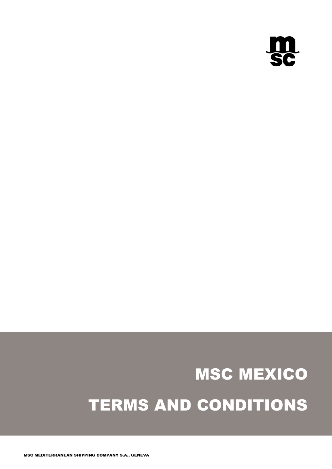

# MSC MEXICO TERMS AND CONDITIONS

MSC MEDITERRANEAN SHIPPING COMPANY S.A., GENEVA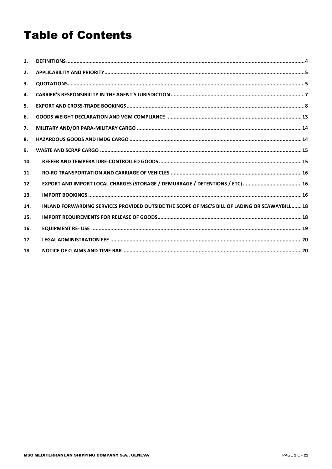## **Table of Contents**

| $\mathbf{1}$ . |                                                                                                |
|----------------|------------------------------------------------------------------------------------------------|
| 2.             |                                                                                                |
| 3.             |                                                                                                |
| 4.             |                                                                                                |
| 5.             |                                                                                                |
| 6.             |                                                                                                |
| 7.             |                                                                                                |
| 8.             |                                                                                                |
| 9.             |                                                                                                |
| 10.            |                                                                                                |
| 11.            |                                                                                                |
| 12.            |                                                                                                |
| 13.            |                                                                                                |
| 14.            | INLAND FORWARDING SERVICES PROVIDED OUTSIDE THE SCOPE OF MSC'S BILL OF LADING OR SEAWAYBILL 18 |
| 15.            |                                                                                                |
| 16.            |                                                                                                |
| 17.            |                                                                                                |
| 18.            |                                                                                                |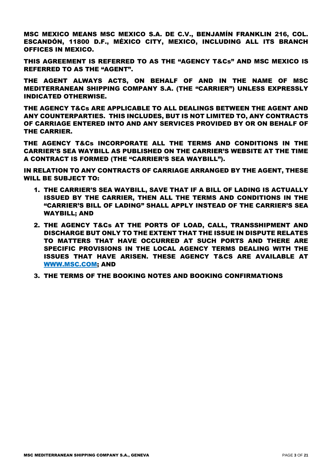MSC MEXICO MEANS MSC MEXICO S.A. DE C.V., BENJAMÍN FRANKLIN 216, COL. ESCANDÓN, 11800 D.F., MÉXICO CITY, MEXICO, INCLUDING ALL ITS BRANCH OFFICES IN MEXICO.

THIS AGREEMENT IS REFERRED TO AS THE "AGENCY T&Cs" AND MSC MEXICO IS REFERRED TO AS THE "AGENT".

THE AGENT ALWAYS ACTS, ON BEHALF OF AND IN THE NAME OF MSC MEDITERRANEAN SHIPPING COMPANY S.A. (THE "CARRIER") UNLESS EXPRESSLY INDICATED OTHERWISE.

THE AGENCY T&Cs ARE APPLICABLE TO ALL DEALINGS BETWEEN THE AGENT AND ANY COUNTERPARTIES. THIS INCLUDES, BUT IS NOT LIMITED TO, ANY CONTRACTS OF CARRIAGE ENTERED INTO AND ANY SERVICES PROVIDED BY OR ON BEHALF OF THE CARRIER.

THE AGENCY T&Cs INCORPORATE ALL THE TERMS AND CONDITIONS IN THE CARRIER'S SEA WAYBILL AS PUBLISHED ON THE CARRIER'S WEBSITE AT THE TIME A CONTRACT IS FORMED (THE "CARRIER'S SEA WAYBILL").

IN RELATION TO ANY CONTRACTS OF CARRIAGE ARRANGED BY THE AGENT, THESE WILL BE SUBJECT TO:

- 1. THE CARRIER'S SEA WAYBILL, SAVE THAT IF A BILL OF LADING IS ACTUALLY ISSUED BY THE CARRIER, THEN ALL THE TERMS AND CONDITIONS IN THE "CARRIER'S BILL OF LADING" SHALL APPLY INSTEAD OF THE CARRIER'S SEA WAYBILL; AND
- 2. THE AGENCY T&Cs AT THE PORTS OF LOAD, CALL, TRANSSHIPMENT AND DISCHARGE BUT ONLY TO THE EXTENT THAT THE ISSUE IN DISPUTE RELATES TO MATTERS THAT HAVE OCCURRED AT SUCH PORTS AND THERE ARE SPECIFIC PROVISIONS IN THE LOCAL AGENCY TERMS DEALING WITH THE ISSUES THAT HAVE ARISEN. THESE AGENCY T&CS ARE AVAILABLE AT [WWW.MSC.COM;](http://www.msc.com/) AND
- 3. THE TERMS OF THE BOOKING NOTES AND BOOKING CONFIRMATIONS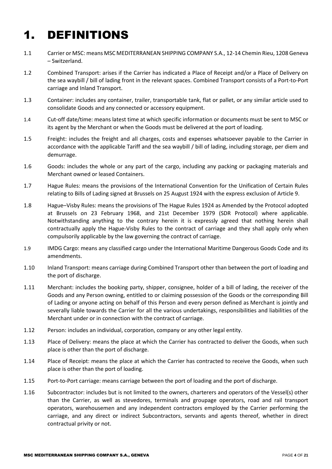# <span id="page-3-0"></span>1. DEFINITIONS

- 1.1 Carrier or MSC: means MSC MEDITERRANEAN SHIPPING COMPANY S.A., 12-14 Chemin Rieu, 1208 Geneva – Switzerland.
- 1.2 Combined Transport: arises if the Carrier has indicated a Place of Receipt and/or a Place of Delivery on the sea waybill / bill of lading front in the relevant spaces. Combined Transport consists of a Port-to-Port carriage and Inland Transport.
- 1.3 Container: includes any container, trailer, transportable tank, flat or pallet, or any similar article used to consolidate Goods and any connected or accessory equipment.
- 1.4 Cut-off date/time: means latest time at which specific information or documents must be sent to MSC or its agent by the Merchant or when the Goods must be delivered at the port of loading.
- 1.5 Freight: includes the freight and all charges, costs and expenses whatsoever payable to the Carrier in accordance with the applicable Tariff and the sea waybill / bill of lading, including storage, per diem and demurrage.
- 1.6 Goods: includes the whole or any part of the cargo, including any packing or packaging materials and Merchant owned or leased Containers.
- 1.7 Hague Rules: means the provisions of the International Convention for the Unification of Certain Rules relating to Bills of Lading signed at Brussels on 25 August 1924 with the express exclusion of Article 9.
- 1.8 Hague–Visby Rules: means the provisions of The Hague Rules 1924 as Amended by the Protocol adopted at Brussels on 23 February 1968, and 21st December 1979 (SDR Protocol) where applicable. Notwithstanding anything to the contrary herein it is expressly agreed that nothing herein shall contractually apply the Hague-Visby Rules to the contract of carriage and they shall apply only when compulsorily applicable by the law governing the contract of carriage.
- 1.9 IMDG Cargo: means any classified cargo under the International Maritime Dangerous Goods Code and its amendments.
- 1.10 Inland Transport: means carriage during Combined Transport other than between the port of loading and the port of discharge.
- 1.11 Merchant: includes the booking party, shipper, consignee, holder of a bill of lading, the receiver of the Goods and any Person owning, entitled to or claiming possession of the Goods or the corresponding Bill of Lading or anyone acting on behalf of this Person and every person defined as Merchant is jointly and severally liable towards the Carrier for all the various undertakings, responsibilities and liabilities of the Merchant under or in connection with the contract of carriage.
- 1.12 Person: includes an individual, corporation, company or any other legal entity.
- 1.13 Place of Delivery: means the place at which the Carrier has contracted to deliver the Goods, when such place is other than the port of discharge.
- 1.14 Place of Receipt: means the place at which the Carrier has contracted to receive the Goods, when such place is other than the port of loading.
- 1.15 Port-to-Port carriage: means carriage between the port of loading and the port of discharge.
- 1.16 Subcontractor: includes but is not limited to the owners, charterers and operators of the Vessel(s) other than the Carrier, as well as stevedores, terminals and groupage operators, road and rail transport operators, warehousemen and any independent contractors employed by the Carrier performing the carriage, and any direct or indirect Subcontractors, servants and agents thereof, whether in direct contractual privity or not.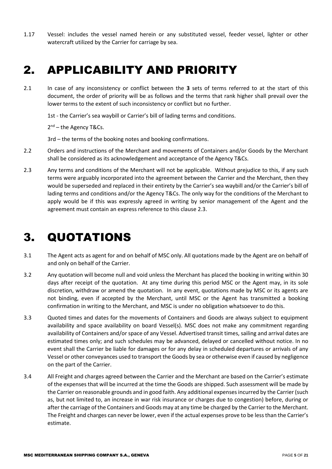1.17 Vessel: includes the vessel named herein or any substituted vessel, feeder vessel, lighter or other watercraft utilized by the Carrier for carriage by sea.

## <span id="page-4-0"></span>2. APPLICABILITY AND PRIORITY

2.1 In case of any inconsistency or conflict between the **3** sets of terms referred to at the start of this document, the order of priority will be as follows and the terms that rank higher shall prevail over the lower terms to the extent of such inconsistency or conflict but no further.

1st - the Carrier's sea waybill or Carrier's bill of lading terms and conditions.

2<sup>nd</sup> – the Agency T&Cs.

3rd – the terms of the booking notes and booking confirmations.

- 2.2 Orders and instructions of the Merchant and movements of Containers and/or Goods by the Merchant shall be considered as its acknowledgement and acceptance of the Agency T&Cs.
- 2.3 Any terms and conditions of the Merchant will not be applicable. Without prejudice to this, if any such terms were arguably incorporated into the agreement between the Carrier and the Merchant, then they would be superseded and replaced in their entirety by the Carrier's sea waybill and/or the Carrier's bill of lading terms and conditions and/or the Agency T&Cs. The only way for the conditions of the Merchant to apply would be if this was expressly agreed in writing by senior management of the Agent and the agreement must contain an express reference to this clause 2.3.

## <span id="page-4-1"></span>3. QUOTATIONS

- 3.1 The Agent acts as agent for and on behalf of MSC only. All quotations made by the Agent are on behalf of and only on behalf of the Carrier.
- 3.2 Any quotation will become null and void unless the Merchant has placed the booking in writing within 30 days after receipt of the quotation. At any time during this period MSC or the Agent may, in its sole discretion, withdraw or amend the quotation. In any event, quotations made by MSC or its agents are not binding, even if accepted by the Merchant, until MSC or the Agent has transmitted a booking confirmation in writing to the Merchant, and MSC is under no obligation whatsoever to do this.
- 3.3 Quoted times and dates for the movements of Containers and Goods are always subject to equipment availability and space availability on board Vessel(s). MSC does not make any commitment regarding availability of Containers and/or space of any Vessel. Advertised transit times, sailing and arrival dates are estimated times only; and such schedules may be advanced, delayed or cancelled without notice. In no event shall the Carrier be liable for damages or for any delay in scheduled departures or arrivals of any Vessel or other conveyances used to transport the Goods by sea or otherwise even if caused by negligence on the part of the Carrier.
- 3.4 All Freight and charges agreed between the Carrier and the Merchant are based on the Carrier's estimate of the expenses that will be incurred at the time the Goods are shipped. Such assessment will be made by the Carrier on reasonable grounds and in good faith. Any additional expenses incurred by the Carrier (such as, but not limited to, an increase in war risk insurance or charges due to congestion) before, during or after the carriage of the Containers and Goods may at any time be charged by the Carrier to the Merchant. The Freight and charges can never be lower, even if the actual expenses prove to be less than the Carrier's estimate.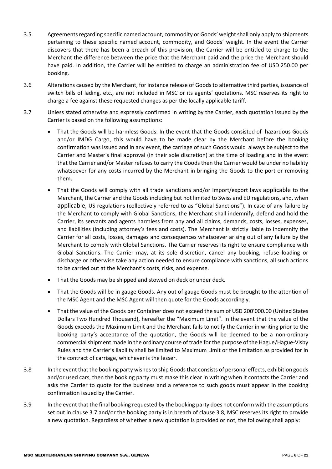- 3.5 Agreements regarding specific named account, commodity or Goods' weight shall only apply to shipments pertaining to these specific named account, commodity, and Goods' weight. In the event the Carrier discovers that there has been a breach of this provision, the Carrier will be entitled to charge to the Merchant the difference between the price that the Merchant paid and the price the Merchant should have paid. In addition, the Carrier will be entitled to charge an administration fee of USD 250.00 per booking.
- 3.6 Alterations caused by the Merchant, for instance release of Goods to alternative third parties, issuance of switch bills of lading, etc., are not included in MSC or its agents' quotations. MSC reserves its right to charge a fee against these requested changes as per the locally applicable tariff.
- 3.7 Unless stated otherwise and expressly confirmed in writing by the Carrier, each quotation issued by the Carrier is based on the following assumptions:
	- That the Goods will be harmless Goods. In the event that the Goods consisted of hazardous Goods and/or IMDG Cargo, this would have to be made clear by the Merchant before the booking confirmation was issued and in any event, the carriage of such Goods would always be subject to the Carrier and Master's final approval (in their sole discretion) at the time of loading and in the event that the Carrier and/or Master refuses to carry the Goods then the Carrier would be under no liability whatsoever for any costs incurred by the Merchant in bringing the Goods to the port or removing them.
	- That the Goods will comply with all trade sanctions and/or import/export laws applicable to the Merchant, the Carrier and the Goods including but not limited to Swiss and EU regulations, and, when applicable, US regulations (collectively referred to as "Global Sanctions"). In case of any failure by the Merchant to comply with Global Sanctions, the Merchant shall indemnify, defend and hold the Carrier, its servants and agents harmless from any and all claims, demands, costs, losses, expenses, and liabilities (including attorney's fees and costs). The Merchant is strictly liable to indemnify the Carrier for all costs, losses, damages and consequences whatsoever arising out of any failure by the Merchant to comply with Global Sanctions. The Carrier reserves its right to ensure compliance with Global Sanctions. The Carrier may, at its sole discretion, cancel any booking, refuse loading or discharge or otherwise take any action needed to ensure compliance with sanctions, all such actions to be carried out at the Merchant's costs, risks, and expense.
	- That the Goods may be shipped and stowed on deck or under deck.
	- That the Goods will be in gauge Goods. Any out of gauge Goods must be brought to the attention of the MSC Agent and the MSC Agent will then quote for the Goods accordingly.
	- That the value of the Goods per Container does not exceed the sum of USD 200'000.00 (United States Dollars Two Hundred Thousand), hereafter the "Maximum Limit". In the event that the value of the Goods exceeds the Maximum Limit and the Merchant fails to notify the Carrier in writing prior to the booking party's acceptance of the quotation, the Goods will be deemed to be a non-ordinary commercial shipment made in the ordinary course of trade for the purpose of the Hague/Hague-Visby Rules and the Carrier's liability shall be limited to Maximum Limit or the limitation as provided for in the contract of carriage, whichever is the lesser.
- 3.8 In the event that the booking party wishes to ship Goods that consists of personal effects, exhibition goods and/or used cars, then the booking party must make this clear in writing when it contacts the Carrier and asks the Carrier to quote for the business and a reference to such goods must appear in the booking confirmation issued by the Carrier.
- 3.9 In the event that the final booking requested by the booking party does not conform with the assumptions set out in clause 3.7 and/or the booking party is in breach of clause 3.8, MSC reserves its right to provide a new quotation. Regardless of whether a new quotation is provided or not, the following shall apply: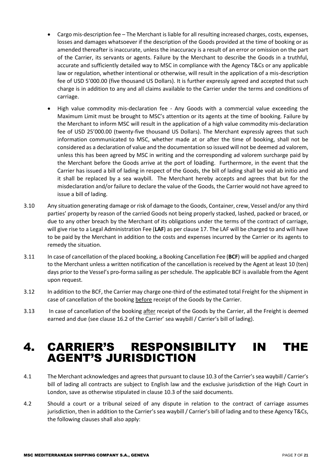- Cargo mis-description fee The Merchant is liable for all resulting increased charges, costs, expenses, losses and damages whatsoever if the description of the Goods provided at the time of booking or as amended thereafter is inaccurate, unless the inaccuracy is a result of an error or omission on the part of the Carrier, its servants or agents. Failure by the Merchant to describe the Goods in a truthful, accurate and sufficiently detailed way to MSC in compliance with the Agency T&Cs or any applicable law or regulation, whether intentional or otherwise, will result in the application of a mis-description fee of USD 5'000.00 (five thousand US Dollars). It is further expressly agreed and accepted that such charge is in addition to any and all claims available to the Carrier under the terms and conditions of carriage.
- High value commodity mis-declaration fee Any Goods with a commercial value exceeding the Maximum Limit must be brought to MSC's attention or its agents at the time of booking. Failure by the Merchant to inform MSC will result in the application of a high value commodity mis-declaration fee of USD 25'000.00 (twenty-five thousand US Dollars). The Merchant expressly agrees that such information communicated to MSC, whether made at or after the time of booking, shall not be considered as a declaration of value and the documentation so issued will not be deemed ad valorem, unless this has been agreed by MSC in writing and the corresponding ad valorem surcharge paid by the Merchant before the Goods arrive at the port of loading. Furthermore, in the event that the Carrier has issued a bill of lading in respect of the Goods, the bill of lading shall be void ab initio and it shall be replaced by a sea waybill. The Merchant hereby accepts and agrees that but for the misdeclaration and/or failure to declare the value of the Goods, the Carrier would not have agreed to issue a bill of lading.
- 3.10 Any situation generating damage or risk of damage to the Goods, Container, crew, Vessel and/or any third parties' property by reason of the carried Goods not being properly stacked, lashed, packed or braced, or due to any other breach by the Merchant of its obligations under the terms of the contract of carriage, will give rise to a Legal Administration Fee (**LAF**) as per clause 17. The LAF will be charged to and will have to be paid by the Merchant in addition to the costs and expenses incurred by the Carrier or its agents to remedy the situation.
- 3.11 In case of cancellation of the placed booking, a Booking Cancellation Fee (**BCF**) will be applied and charged to the Merchant unless a written notification of the cancellation is received by the Agent at least 10 (ten) days prior to the Vessel's pro-forma sailing as per schedule. The applicable BCF is available from the Agent upon request.
- 3.12 In addition to the BCF, the Carrier may charge one-third of the estimated total Freight for the shipment in case of cancellation of the booking before receipt of the Goods by the Carrier.
- 3.13 In case of cancellation of the booking after receipt of the Goods by the Carrier, all the Freight is deemed earned and due (see clause 16.2 of the Carrier' sea waybill / Carrier's bill of lading).

## <span id="page-6-0"></span>4. CARRIER'S RESPONSIBILITY IN THE AGENT'S JURISDICTION

- 4.1 The Merchant acknowledges and agrees that pursuant to clause 10.3 of the Carrier's sea waybill / Carrier's bill of lading all contracts are subject to English law and the exclusive jurisdiction of the High Court in London, save as otherwise stipulated in clause 10.3 of the said documents.
- 4.2 Should a court or a tribunal seized of any dispute in relation to the contract of carriage assumes jurisdiction, then in addition to the Carrier's sea waybill / Carrier's bill of lading and to these Agency T&Cs, the following clauses shall also apply: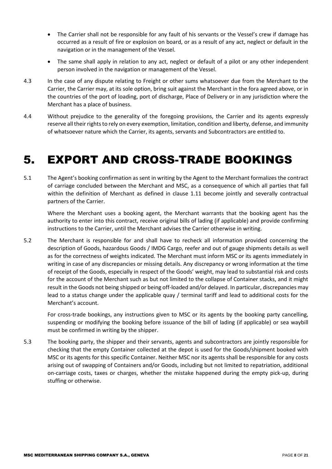- The Carrier shall not be responsible for any fault of his servants or the Vessel's crew if damage has occurred as a result of fire or explosion on board, or as a result of any act, neglect or default in the navigation or in the management of the Vessel.
- The same shall apply in relation to any act, neglect or default of a pilot or any other independent person involved in the navigation or management of the Vessel.
- 4.3 In the case of any dispute relating to Freight or other sums whatsoever due from the Merchant to the Carrier, the Carrier may, at its sole option, bring suit against the Merchant in the fora agreed above, or in the countries of the port of loading, port of discharge, Place of Delivery or in any jurisdiction where the Merchant has a place of business.
- 4.4 Without prejudice to the generality of the foregoing provisions, the Carrier and its agents expressly reserve all their rights to rely on every exemption, limitation, condition and liberty, defense, and immunity of whatsoever nature which the Carrier, its agents, servants and Subcontractors are entitled to.

## <span id="page-7-0"></span>5. EXPORT AND CROSS-TRADE BOOKINGS

5.1 The Agent's booking confirmation as sent in writing by the Agent to the Merchant formalizes the contract of carriage concluded between the Merchant and MSC, as a consequence of which all parties that fall within the definition of Merchant as defined in clause 1.11 become jointly and severally contractual partners of the Carrier.

Where the Merchant uses a booking agent, the Merchant warrants that the booking agent has the authority to enter into this contract, receive original bills of lading (if applicable) and provide confirming instructions to the Carrier, until the Merchant advises the Carrier otherwise in writing.

5.2 The Merchant is responsible for and shall have to recheck all information provided concerning the description of Goods, hazardous Goods / IMDG Cargo, reefer and out of gauge shipments details as well as for the correctness of weights indicated. The Merchant must inform MSC or its agents immediately in writing in case of any discrepancies or missing details. Any discrepancy or wrong information at the time of receipt of the Goods, especially in respect of the Goods' weight, may lead to substantial risk and costs for the account of the Merchant such as but not limited to the collapse of Container stacks, and it might result in the Goods not being shipped or being off-loaded and/or delayed. In particular, discrepancies may lead to a status change under the applicable quay / terminal tariff and lead to additional costs for the Merchant's account.

For cross-trade bookings, any instructions given to MSC or its agents by the booking party cancelling, suspending or modifying the booking before issuance of the bill of lading (if applicable) or sea waybill must be confirmed in writing by the shipper.

5.3 The booking party, the shipper and their servants, agents and subcontractors are jointly responsible for checking that the empty Container collected at the depot is used for the Goods/shipment booked with MSC or its agents for this specific Container. Neither MSC nor its agents shall be responsible for any costs arising out of swapping of Containers and/or Goods, including but not limited to repatriation, additional on-carriage costs, taxes or charges, whether the mistake happened during the empty pick-up, during stuffing or otherwise.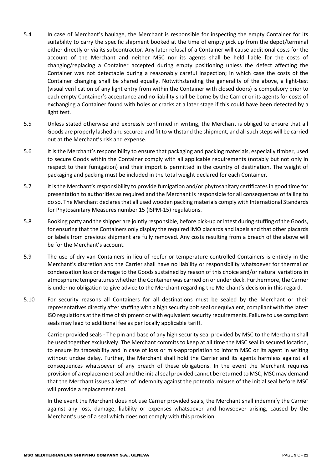- 5.4 In case of Merchant's haulage, the Merchant is responsible for inspecting the empty Container for its suitability to carry the specific shipment booked at the time of empty pick up from the depot/terminal either directly or via its subcontractor. Any later refusal of a Container will cause additional costs for the account of the Merchant and neither MSC nor its agents shall be held liable for the costs of changing/replacing a Container accepted during empty positioning unless the defect affecting the Container was not detectable during a reasonably careful inspection; in which case the costs of the Container changing shall be shared equally. Notwithstanding the generality of the above, a light-test (visual verification of any light entry from within the Container with closed doors) is compulsory prior to each empty Container's acceptance and no liability shall be borne by the Carrier or its agents for costs of exchanging a Container found with holes or cracks at a later stage if this could have been detected by a light test.
- 5.5 Unless stated otherwise and expressly confirmed in writing, the Merchant is obliged to ensure that all Goods are properly lashed and secured and fit to withstand the shipment, and all such steps will be carried out at the Merchant's risk and expense.
- 5.6 It is the Merchant's responsibility to ensure that packaging and packing materials, especially timber, used to secure Goods within the Container comply with all applicable requirements (notably but not only in respect to their fumigation) and their import is permitted in the country of destination. The weight of packaging and packing must be included in the total weight declared for each Container.
- 5.7 It is the Merchant's responsibility to provide fumigation and/or phytosanitary certificates in good time for presentation to authorities as required and the Merchant is responsible for all consequences of failing to do so. The Merchant declares that all used wooden packing materials comply with International Standards for Phytosanitary Measures number 15 (ISPM-15) regulations.
- 5.8 Booking party and the shipper are jointly responsible, before pick-up or latest during stuffing of the Goods, for ensuring that the Containers only display the required IMO placards and labels and that other placards or labels from previous shipment are fully removed. Any costs resulting from a breach of the above will be for the Merchant's account.
- 5.9 The use of dry-van Containers in lieu of reefer or temperature-controlled Containers is entirely in the Merchant's discretion and the Carrier shall have no liability or responsibility whatsoever for thermal or condensation loss or damage to the Goods sustained by reason of this choice and/or natural variations in atmospheric temperatures whether the Container was carried on or under deck. Furthermore, the Carrier is under no obligation to give advice to the Merchant regarding the Merchant's decision in this regard.
- 5.10 For security reasons all Containers for all destinations must be sealed by the Merchant or their representatives directly after stuffing with a high security bolt seal or equivalent, compliant with the latest ISO regulations at the time of shipment or with equivalent security requirements. Failure to use compliant seals may lead to additional fee as per locally applicable tariff.

Carrier provided seals - The pin and base of any high security seal provided by MSC to the Merchant shall be used together exclusively. The Merchant commits to keep at all time the MSC seal in secured location, to ensure its traceability and in case of loss or mis-appropriation to inform MSC or its agent in writing without undue delay. Further, the Merchant shall hold the Carrier and its agents harmless against all consequences whatsoever of any breach of these obligations. In the event the Merchant requires provision of a replacement seal and the initial seal provided cannot be returned to MSC, MSC may demand that the Merchant issues a letter of indemnity against the potential misuse of the initial seal before MSC will provide a replacement seal.

In the event the Merchant does not use Carrier provided seals, the Merchant shall indemnify the Carrier against any loss, damage, liability or expenses whatsoever and howsoever arising, caused by the Merchant's use of a seal which does not comply with this provision.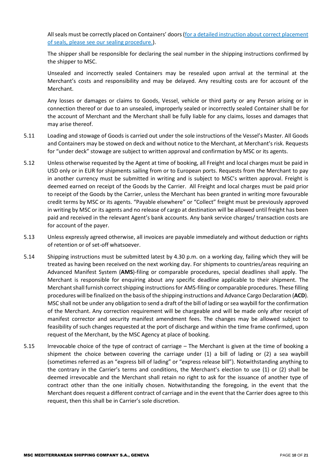All seals must be correctly placed on Containers' doors [\(for a detailed instruction about correct placement](https://www.msc.com/global-document-library/msc-germany/pdf/terms-conditions/sealing-procedure-germany)  [of seals, please see our sealing procedure.\)](https://www.msc.com/global-document-library/msc-germany/pdf/terms-conditions/sealing-procedure-germany).

The shipper shall be responsible for declaring the seal number in the shipping instructions confirmed by the shipper to MSC.

Unsealed and incorrectly sealed Containers may be resealed upon arrival at the terminal at the Merchant's costs and responsibility and may be delayed. Any resulting costs are for account of the Merchant.

Any losses or damages or claims to Goods, Vessel, vehicle or third party or any Person arising or in connection thereof or due to an unsealed, improperly sealed or incorrectly sealed Container shall be for the account of Merchant and the Merchant shall be fully liable for any claims, losses and damages that may arise thereof.

- 5.11 Loading and stowage of Goods is carried out under the sole instructions of the Vessel's Master. All Goods and Containers may be stowed on deck and without notice to the Merchant, at Merchant's risk. Requests for "under deck" stowage are subject to written approval and confirmation by MSC or its agents.
- 5.12 Unless otherwise requested by the Agent at time of booking, all Freight and local charges must be paid in USD only or in EUR for shipments sailing from or to European ports. Requests from the Merchant to pay in another currency must be submitted in writing and is subject to MSC's written approval. Freight is deemed earned on receipt of the Goods by the Carrier. All Freight and local charges must be paid prior to receipt of the Goods by the Carrier, unless the Merchant has been granted in writing more favourable credit terms by MSC or its agents. "Payable elsewhere" or "Collect" freight must be previously approved in writing by MSC or its agents and no release of cargo at destination will be allowed until freight has been paid and received in the relevant Agent's bank accounts. Any bank service charges/ transaction costs are for account of the payer.
- 5.13 Unless expressly agreed otherwise, all invoices are payable immediately and without deduction or rights of retention or of set-off whatsoever.
- 5.14 Shipping instructions must be submitted latest by 4.30 p.m. on a working day, failing which they will be treated as having been received on the next working day. For shipments to countries/areas requiring an Advanced Manifest System (**AMS**)-filing or comparable procedures, special deadlines shall apply. The Merchant is responsible for enquiring about any specific deadline applicable to their shipment. The Merchant shall furnish correct shipping instructions for AMS-filing or comparable procedures. These filling procedures will be finalized on the basis of the shipping instructions and Advance Cargo Declaration (**ACD**). MSC shall not be under any obligation to send a draft of the bill of lading or sea waybill for the confirmation of the Merchant. Any correction requirement will be chargeable and will be made only after receipt of manifest corrector and security manifest amendment fees. The changes may be allowed subject to feasibility of such changes requested at the port of discharge and within the time frame confirmed, upon request of the Merchant, by the MSC Agency at place of booking.
- 5.15 Irrevocable choice of the type of contract of carriage The Merchant is given at the time of booking a shipment the choice between covering the carriage under (1) a bill of lading or (2) a sea waybill (sometimes referred as an "express bill of lading" or "express release bill"). Notwithstanding anything to the contrary in the Carrier's terms and conditions, the Merchant's election to use (1) or (2) shall be deemed irrevocable and the Merchant shall retain no right to ask for the issuance of another type of contract other than the one initially chosen. Notwithstanding the foregoing, in the event that the Merchant does request a different contract of carriage and in the event that the Carrier does agree to this request, then this shall be in Carrier's sole discretion.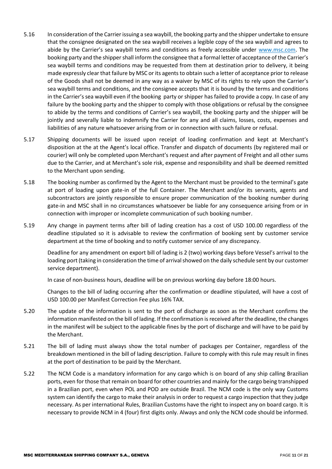- 5.16 In consideration of the Carrier issuing a sea waybill, the booking party and the shipper undertake to ensure that the consignee designated on the sea waybill receives a legible copy of the sea waybill and agrees to abide by the Carrier's sea waybill terms and conditions as freely accessible under [www.msc.com.](http://www.msc.com/) The booking party and the shipper shall inform the consignee that a formal letter of acceptance of the Carrier's sea waybill terms and conditions may be requested from them at destination prior to delivery, it being made expressly clear that failure by MSC or its agents to obtain such a letter of acceptance prior to release of the Goods shall not be deemed in any way as a waiver by MSC of its rights to rely upon the Carrier's sea waybill terms and conditions, and the consignee accepts that it is bound by the terms and conditions in the Carrier's sea waybill even if the booking party or shipper has failed to provide a copy. In case of any failure by the booking party and the shipper to comply with those obligations or refusal by the consignee to abide by the terms and conditions of Carrier's sea waybill, the booking party and the shipper will be jointly and severally liable to indemnify the Carrier for any and all claims, losses, costs, expenses and liabilities of any nature whatsoever arising from or in connection with such failure or refusal.
- 5.17 Shipping documents will be issued upon receipt of loading confirmation and kept at Merchant's disposition at the at the Agent's local office. Transfer and dispatch of documents (by registered mail or courier) will only be completed upon Merchant's request and after payment of Freight and all other sums due to the Carrier, and at Merchant's sole risk, expense and responsibility and shall be deemed remitted to the Merchant upon sending.
- 5.18 The booking number as confirmed by the Agent to the Merchant must be provided to the terminal's gate at port of loading upon gate-in of the full Container. The Merchant and/or its servants, agents and subcontractors are jointly responsible to ensure proper communication of the booking number during gate-in and MSC shall in no circumstances whatsoever be liable for any consequence arising from or in connection with improper or incomplete communication of such booking number.
- 5.19 Any change in payment terms after bill of lading creation has a cost of USD 100.00 regardless of the deadline stipulated so it is advisable to review the confirmation of booking sent by customer service department at the time of booking and to notify customer service of any discrepancy.

Deadline for any amendment on export bill of lading is 2 (two) working days before Vessel's arrival to the loading port (taking in consideration the time of arrival showed on the daily schedule sent by our customer service department).

In case of non-business hours, deadline will be on previous working day before 18:00 hours.

Changes to the bill of lading occurring after the confirmation or deadline stipulated, will have a cost of USD 100.00 per Manifest Correction Fee plus 16% TAX.

- 5.20 The update of the information is sent to the port of discharge as soon as the Merchant confirms the information manifested on the bill of lading. If the confirmation is received after the deadline, the changes in the manifest will be subject to the applicable fines by the port of discharge and will have to be paid by the Merchant.
- 5.21 The bill of lading must always show the total number of packages per Container, regardless of the breakdown mentioned in the bill of lading description. Failure to comply with this rule may result in fines at the port of destination to be paid by the Merchant.
- 5.22 The NCM Code is a mandatory information for any cargo which is on board of any ship calling Brazilian ports, even for those that remain on board for other countries and mainly for the cargo being transhipped in a Brazilian port, even when POL and POD are outside Brazil. The NCM code is the only way Customs system can identify the cargo to make their analysis in order to request a cargo inspection that they judge necessary. As per international Rules, Brazilian Customs have the right to inspect any on board cargo. It is necessary to provide NCM in 4 (four) first digits only. Always and only the NCM code should be informed.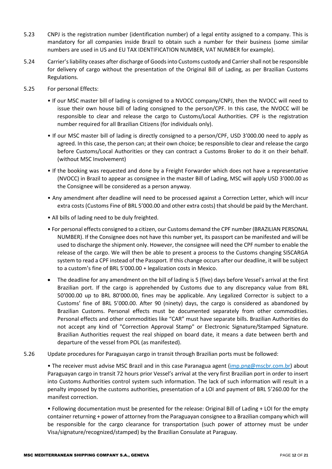- 5.23 CNPJ is the registration number (identification number) of a legal entity assigned to a company. This is mandatory for all companies inside Brazil to obtain such a number for their business (some similar numbers are used in US and EU TAX IDENTIFICATION NUMBER, VAT NUMBER for example).
- 5.24 Carrier's liability ceases after discharge of Goods into Customs custody and Carrier shall not be responsible for delivery of cargo without the presentation of the Original Bill of Lading, as per Brazilian Customs Regulations.
- 5.25 For personal Effects:
	- If our MSC master bill of lading is consigned to a NVOCC company/CNPJ, then the NVOCC will need to issue their own house bill of lading consigned to the person/CPF. In this case, the NVOCC will be responsible to clear and release the cargo to Customs/Local Authorities. CPF is the registration number required for all Brazilian Citizens (for individuals only).
	- If our MSC master bill of lading is directly consigned to a person/CPF, USD 3'000.00 need to apply as agreed. In this case, the person can; at their own choice; be responsible to clear and release the cargo before Customs/Local Authorities or they can contract a Customs Broker to do it on their behalf. (without MSC Involvement)
	- If the booking was requested and done by a Freight Forwarder which does not have a representative (NVOCC) in Brazil to appear as consignee in the master Bill of Lading, MSC will apply USD 3'000.00 as the Consignee will be considered as a person anyway.
	- Any amendment after deadline will need to be processed against a Correction Letter, which will incur extra costs (Customs Fine of BRL 5'000.00 and other extra costs) that should be paid by the Merchant.
	- All bills of lading need to be duly freighted.
	- For personal effects consigned to a citizen, our Customs demand the CPF number (BRAZILIAN PERSONAL NUMBER). If the Consignee does not have this number yet, its passport can be manifested and will be used to discharge the shipment only. However, the consignee will need the CPF number to enable the release of the cargo. We will then be able to present a process to the Customs changing SISCARGA system to read a CPF instead of the Passport. If this change occurs after our deadline, it will be subject to a custom's fine of BRL 5'000.00 + legalization costs in Mexico.
	- The deadline for any amendment on the bill of lading is 5 (five) days before Vessel's arrival at the first Brazilian port. If the cargo is apprehended by Customs due to any discrepancy value from BRL 50'000.00 up to BRL 80'000.00, fines may be applicable. Any Legalized Corrector is subject to a Customs' fine of BRL 5'000.00. After 90 (ninety) days, the cargo is considered as abandoned by Brazilian Customs. Personal effects must be documented separately from other commodities. Personal effects and other commodities like "CAR" must have separate bills. Brazilian Authorities do not accept any kind of "Correction Approval Stamp" or Electronic Signature/Stamped Signature. Brazilian Authorities request the real shipped on board date, it means a date between berth and departure of the vessel from POL (as manifested).
- 5.26 Update procedures for Paraguayan cargo in transit through Brazilian ports must be followed:

• The receiver must advise MSC Brazil and in this case Paranagua agent [\(imp.png@mscbr.com.br\)](mailto:imp.png@mscbr.com.br) about Paraguayan cargo in transit 72 hours prior Vessel's arrival at the very first Brazilian port in order to insert into Customs Authorities control system such information. The lack of such information will result in a penalty imposed by the customs authorities, presentation of a LOI and payment of BRL 5'260.00 for the manifest correction.

• Following documentation must be presented for the release: Original Bill of Lading + LOI for the empty container returning + power of attorney from the Paraguayan consignee to a Brazilian company which will be responsible for the cargo clearance for transportation (such power of attorney must be under Visa/signature/recognized/stamped) by the Brazilian Consulate at Paraguay.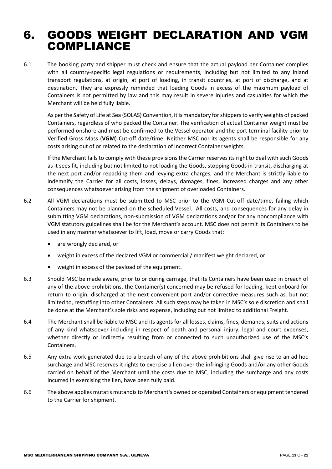### <span id="page-12-0"></span>6. GOODS WEIGHT DECLARATION AND VGM COMPLIANCE

6.1 The booking party and shipper must check and ensure that the actual payload per Container complies with all country-specific legal regulations or requirements, including but not limited to any inland transport regulations, at origin, at port of loading, in transit countries, at port of discharge, and at destination. They are expressly reminded that loading Goods in excess of the maximum payload of Containers is not permitted by law and this may result in severe injuries and casualties for which the Merchant will be held fully liable.

As per the Safety of Life at Sea (SOLAS) Convention, it is mandatory for shippers to verify weights of packed Containers, regardless of who packed the Container. The verification of actual Container weight must be performed onshore and must be confirmed to the Vessel operator and the port terminal facility prior to Verified Gross Mass (**VGM**) Cut-off date/time. Neither MSC nor its agents shall be responsible for any costs arising out of or related to the declaration of incorrect Container weights.

If the Merchant fails to comply with these provisions the Carrier reserves its right to deal with such Goods as it sees fit, including but not limited to not loading the Goods, stopping Goods in transit, discharging at the next port and/or repacking them and levying extra charges, and the Merchant is strictly liable to indemnify the Carrier for all costs, losses, delays, damages, fines, increased charges and any other consequences whatsoever arising from the shipment of overloaded Containers.

- 6.2 All VGM declarations must be submitted to MSC prior to the VGM Cut-off date/time, failing which Containers may not be planned on the scheduled Vessel. All costs, and consequences for any delay in submitting VGM declarations, non-submission of VGM declarations and/or for any noncompliance with VGM statutory guidelines shall be for the Merchant's account. MSC does not permit its Containers to be used in any manner whatsoever to lift, load, move or carry Goods that:
	- are wrongly declared, or
	- weight in excess of the declared VGM or commercial / manifest weight declared, or
	- weight in excess of the payload of the equipment.
- 6.3 Should MSC be made aware, prior to or during carriage, that its Containers have been used in breach of any of the above prohibitions, the Container(s) concerned may be refused for loading, kept onboard for return to origin, discharged at the next convenient port and/or corrective measures such as, but not limited to, restuffing into other Containers. All such steps may be taken in MSC's sole discretion and shall be done at the Merchant's sole risks and expense, including but not limited to additional Freight.
- 6.4 The Merchant shall be liable to MSC and its agents for all losses, claims, fines, demands, suits and actions of any kind whatsoever including in respect of death and personal injury, legal and court expenses, whether directly or indirectly resulting from or connected to such unauthorized use of the MSC's Containers.
- 6.5 Any extra work generated due to a breach of any of the above prohibitions shall give rise to an ad hoc surcharge and MSC reserves it rights to exercise a lien over the infringing Goods and/or any other Goods carried on behalf of the Merchant until the costs due to MSC, including the surcharge and any costs incurred in exercising the lien, have been fully paid.
- 6.6 The above applies mutatis mutandis to Merchant's owned or operated Containers or equipment tendered to the Carrier for shipment.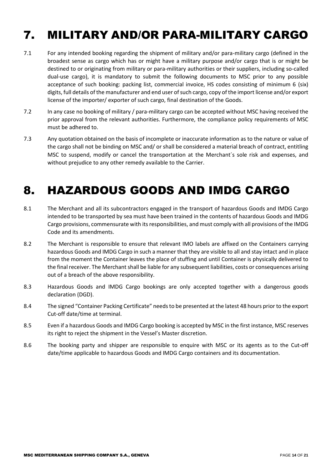## <span id="page-13-0"></span>7. MILITARY AND/OR PARA-MILITARY CARGO

- 7.1 For any intended booking regarding the shipment of military and/or para-military cargo (defined in the broadest sense as cargo which has or might have a military purpose and/or cargo that is or might be destined to or originating from military or para-military authorities or their suppliers, including so-called dual-use cargo), it is mandatory to submit the following documents to MSC prior to any possible acceptance of such booking: packing list, commercial invoice, HS codes consisting of minimum 6 (six) digits, full details of the manufacturer and end user of such cargo, copy of the import license and/or export license of the importer/ exporter of such cargo, final destination of the Goods.
- 7.2 In any case no booking of military / para-military cargo can be accepted without MSC having received the prior approval from the relevant authorities. Furthermore, the compliance policy requirements of MSC must be adhered to.
- 7.3 Any quotation obtained on the basis of incomplete or inaccurate information as to the nature or value of the cargo shall not be binding on MSC and/ or shall be considered a material breach of contract, entitling MSC to suspend, modify or cancel the transportation at the Merchant´s sole risk and expenses, and without prejudice to any other remedy available to the Carrier.

## <span id="page-13-1"></span>8. HAZARDOUS GOODS AND IMDG CARGO

- 8.1 The Merchant and all its subcontractors engaged in the transport of hazardous Goods and IMDG Cargo intended to be transported by sea must have been trained in the contents of hazardous Goods and IMDG Cargo provisions, commensurate with itsresponsibilities, and must comply with all provisions of the IMDG Code and its amendments.
- 8.2 The Merchant is responsible to ensure that relevant IMO labels are affixed on the Containers carrying hazardous Goods and IMDG Cargo in such a manner that they are visible to all and stay intact and in place from the moment the Container leaves the place of stuffing and until Container is physically delivered to the final receiver. The Merchant shall be liable for any subsequent liabilities, costs or consequences arising out of a breach of the above responsibility.
- 8.3 Hazardous Goods and IMDG Cargo bookings are only accepted together with a dangerous goods declaration (DGD).
- 8.4 The signed "Container Packing Certificate" needs to be presented at the latest 48 hours prior to the export Cut-off date/time at terminal.
- 8.5 Even if a hazardous Goods and IMDG Cargo booking is accepted by MSC in the first instance, MSC reserves its right to reject the shipment in the Vessel's Master discretion.
- 8.6 The booking party and shipper are responsible to enquire with MSC or its agents as to the Cut-off date/time applicable to hazardous Goods and IMDG Cargo containers and its documentation.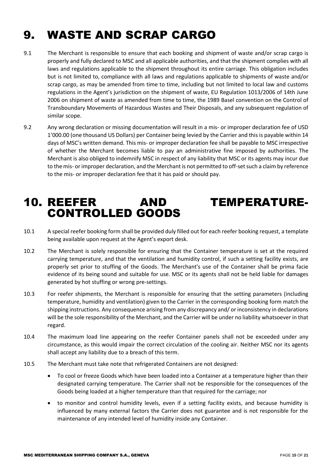## <span id="page-14-0"></span>9. WASTE AND SCRAP CARGO

- 9.1 The Merchant is responsible to ensure that each booking and shipment of waste and/or scrap cargo is properly and fully declared to MSC and all applicable authorities, and that the shipment complies with all laws and regulations applicable to the shipment throughout its entire carriage. This obligation includes but is not limited to, compliance with all laws and regulations applicable to shipments of waste and/or scrap cargo, as may be amended from time to time, including but not limited to local law and customs regulations in the Agent's jurisdiction on the shipment of waste, EU Regulation 1013/2006 of 14th June 2006 on shipment of waste as amended from time to time, the 1989 Basel convention on the Control of Transboundary Movements of Hazardous Wastes and Their Disposals, and any subsequent regulation of similar scope.
- 9.2 Any wrong declaration or missing documentation will result in a mis- or improper declaration fee of USD 1'000.00 (one thousand US Dollars) per Container being levied by the Carrier and this is payable within 14 days of MSC's written demand. This mis- or improper declaration fee shall be payable to MSC irrespective of whether the Merchant becomes liable to pay an administrative fine imposed by authorities. The Merchant is also obliged to indemnify MSC in respect of any liability that MSC or its agents may incur due to the mis- or improper declaration, and the Merchant is not permitted to off-set such a claim by reference to the mis- or improper declaration fee that it has paid or should pay.

#### <span id="page-14-1"></span>10. REEFER AND TEMPERATURE-CONTROLLED GOODS

- 10.1 A special reefer booking form shall be provided duly filled out for each reefer booking request, a template being available upon request at the Agent's export desk.
- 10.2 The Merchant is solely responsible for ensuring that the Container temperature is set at the required carrying temperature, and that the ventilation and humidity control, if such a setting facility exists, are properly set prior to stuffing of the Goods. The Merchant's use of the Container shall be prima facie evidence of its being sound and suitable for use. MSC or its agents shall not be held liable for damages generated by hot stuffing or wrong pre-settings.
- 10.3 For reefer shipments, the Merchant is responsible for ensuring that the setting parameters (including temperature, humidity and ventilation) given to the Carrier in the corresponding booking form match the shipping instructions. Any consequence arising from any discrepancy and/ or inconsistency in declarations will be the sole responsibility of the Merchant, and the Carrier will be under no liability whatsoever in that regard.
- 10.4 The maximum load line appearing on the reefer Container panels shall not be exceeded under any circumstance, as this would impair the correct circulation of the cooling air. Neither MSC nor its agents shall accept any liability due to a breach of this term.
- 10.5 The Merchant must take note that refrigerated Containers are not designed:
	- To cool or freeze Goods which have been loaded into a Container at a temperature higher than their designated carrying temperature. The Carrier shall not be responsible for the consequences of the Goods being loaded at a higher temperature than that required for the carriage; nor
	- to monitor and control humidity levels, even if a setting facility exists, and because humidity is influenced by many external factors the Carrier does not guarantee and is not responsible for the maintenance of any intended level of humidity inside any Container.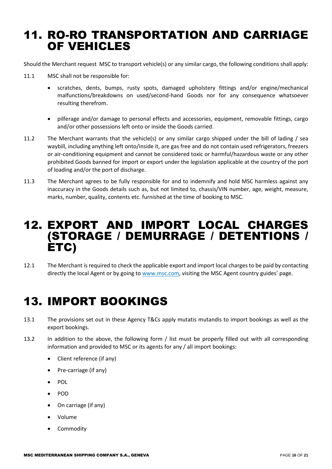### <span id="page-15-0"></span>11. RO-RO TRANSPORTATION AND CARRIAGE OF VEHICLES

Should the Merchant request MSC to transport vehicle(s) or any similar cargo, the following conditions shall apply:

- 11.1 MSC shall not be responsible for:
	- scratches, dents, bumps, rusty spots, damaged upholstery fittings and/or engine/mechanical malfunctions/breakdowns on used/second-hand Goods nor for any consequence whatsoever resulting therefrom.
	- pilferage and/or damage to personal effects and accessories, equipment, removable fittings, cargo and/or other possessions left onto or inside the Goods carried.
- 11.2 The Merchant warrants that the vehicle(s) or any similar cargo shipped under the bill of lading / sea waybill, including anything left onto/inside it, are gas free and do not contain used refrigerators, freezers or air-conditioning equipment and cannot be considered toxic or harmful/hazardous waste or any other prohibited Goods banned for import or export under the legislation applicable at the country of the port of loading and/or the port of discharge.
- 11.3 The Merchant agrees to be fully responsible for and to indemnify and hold MSC harmless against any inaccuracy in the Goods details such as, but not limited to, chassis/VIN number, age, weight, measure, marks, number, quality, contents etc. furnished at the time of booking to MSC.

#### <span id="page-15-1"></span>12. EXPORT AND IMPORT LOCAL CHARGES (STORAGE / DEMURRAGE / DETENTIONS / ETC)

12.1 The Merchant is required to check the applicable export and import local charges to be paid by contacting directly the local Agent or by going to [www.msc.com,](http://www.msc.com/) visiting the MSC Agent country guides' page.

## <span id="page-15-2"></span>13. IMPORT BOOKINGS

- 13.1 The provisions set out in these Agency T&Cs apply mutatis mutandis to import bookings as well as the export bookings.
- 13.2 In addition to the above, the following form / list must be properly filled out with all corresponding information and provided to MSC or its agents for any / all import bookings:
	- Client reference (if any)
	- Pre-carriage (if any)
	- POL
	- POD
	- On carriage (if any)
	- Volume
	- Commodity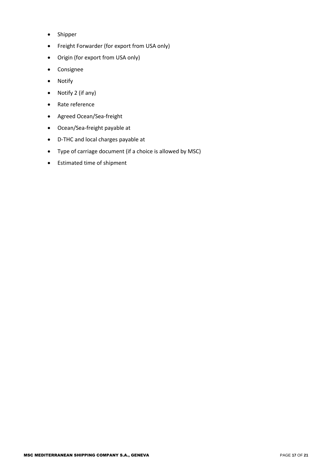- Shipper
- Freight Forwarder (for export from USA only)
- Origin (for export from USA only)
- Consignee
- Notify
- Notify 2 (if any)
- Rate reference
- Agreed Ocean/Sea-freight
- Ocean/Sea-freight payable at
- D-THC and local charges payable at
- Type of carriage document (if a choice is allowed by MSC)
- Estimated time of shipment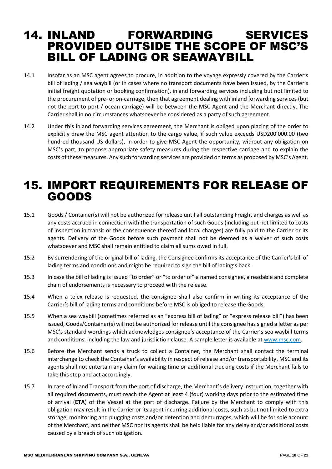#### <span id="page-17-0"></span>14. INLAND FORWARDING SERVICES PROVIDED OUTSIDE THE SCOPE OF MSC'S BILL OF LADING OR SEAWAYBILL

- 14.1 Insofar as an MSC agent agrees to procure, in addition to the voyage expressly covered by the Carrier's bill of lading / sea waybill (or in cases where no transport documents have been issued, by the Carrier's initial freight quotation or booking confirmation), inland forwarding services including but not limited to the procurement of pre- or on-carriage, then that agreement dealing with inland forwarding services (but not the port to port / ocean carriage) will be between the MSC Agent and the Merchant directly. The Carrier shall in no circumstances whatsoever be considered as a party of such agreement.
- 14.2 Under this inland forwarding services agreement, the Merchant is obliged upon placing of the order to explicitly draw the MSC agent attention to the cargo value, if such value exceeds USD200'000.00 (two hundred thousand US dollars), in order to give MSC Agent the opportunity, without any obligation on MSC's part, to propose appropriate safety measures during the respective carriage and to explain the costs of these measures. Any such forwarding services are provided on terms as proposed by MSC's Agent.

#### <span id="page-17-1"></span>15. IMPORT REQUIREMENTS FOR RELEASE OF GOODS

- 15.1 Goods / Container(s) will not be authorized for release until all outstanding Freight and charges as well as any costs accrued in connection with the transportation of such Goods (including but not limited to costs of inspection in transit or the consequence thereof and local charges) are fully paid to the Carrier or its agents. Delivery of the Goods before such payment shall not be deemed as a waiver of such costs whatsoever and MSC shall remain entitled to claim all sums owed in full.
- 15.2 By surrendering of the original bill of lading, the Consignee confirms its acceptance of the Carrier's bill of lading terms and conditions and might be required to sign the bill of lading's back.
- 15.3 In case the bill of lading is issued "to order" or "to order of" a named consignee, a readable and complete chain of endorsements is necessary to proceed with the release.
- 15.4 When a telex release is requested, the consignee shall also confirm in writing its acceptance of the Carrier's bill of lading terms and conditions before MSC is obliged to release the Goods.
- 15.5 When a sea waybill (sometimes referred as an "express bill of lading" or "express release bill") has been issued, Goods/Container(s) will not be authorized for release until the consignee has signed a letter as per MSC's standard wordings which acknowledges consignee's acceptance of the Carrier's sea waybill terms and conditions, including the law and jurisdiction clause. A sample letter is available at [www.msc.com.](http://www.msc.com/)
- 15.6 Before the Merchant sends a truck to collect a Container, the Merchant shall contact the terminal interchange to check the Container's availability in respect of release and/or transportability. MSC and its agents shall not entertain any claim for waiting time or additional trucking costs if the Merchant fails to take this step and act accordingly.
- 15.7 In case of Inland Transport from the port of discharge, the Merchant's delivery instruction, together with all required documents, must reach the Agent at least 4 (four) working days prior to the estimated time of arrival (**ETA**) of the Vessel at the port of discharge. Failure by the Merchant to comply with this obligation may result in the Carrier or its agent incurring additional costs, such as but not limited to extra storage, monitoring and plugging costs and/or detention and demurrages, which will be for sole account of the Merchant, and neither MSC nor its agents shall be held liable for any delay and/or additional costs caused by a breach of such obligation.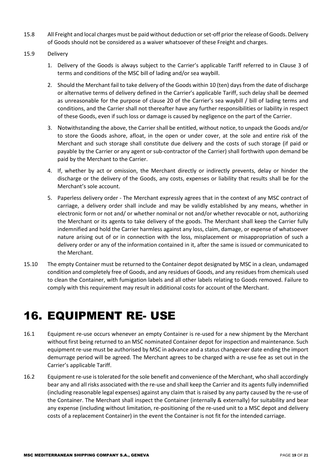- 15.8 All Freight and local charges must be paid without deduction or set-off prior the release of Goods. Delivery of Goods should not be considered as a waiver whatsoever of these Freight and charges.
- 15.9 Delivery
	- 1. Delivery of the Goods is always subject to the Carrier's applicable Tariff referred to in Clause 3 of terms and conditions of the MSC bill of lading and/or sea waybill.
	- 2. Should the Merchant fail to take delivery of the Goods within 10 (ten) days from the date of discharge or alternative terms of delivery defined in the Carrier's applicable Tariff, such delay shall be deemed as unreasonable for the purpose of clause 20 of the Carrier's sea waybill / bill of lading terms and conditions, and the Carrier shall not thereafter have any further responsibilities or liability in respect of these Goods, even if such loss or damage is caused by negligence on the part of the Carrier.
	- 3. Notwithstanding the above, the Carrier shall be entitled, without notice, to unpack the Goods and/or to store the Goods ashore, afloat, in the open or under cover, at the sole and entire risk of the Merchant and such storage shall constitute due delivery and the costs of such storage (if paid or payable by the Carrier or any agent or sub-contractor of the Carrier) shall forthwith upon demand be paid by the Merchant to the Carrier.
	- 4. If, whether by act or omission, the Merchant directly or indirectly prevents, delay or hinder the discharge or the delivery of the Goods, any costs, expenses or liability that results shall be for the Merchant's sole account.
	- 5. Paperless delivery order The Merchant expressly agrees that in the context of any MSC contract of carriage, a delivery order shall include and may be validly established by any means, whether in electronic form or not and/ or whether nominal or not and/or whether revocable or not, authorizing the Merchant or its agents to take delivery of the goods. The Merchant shall keep the Carrier fully indemnified and hold the Carrier harmless against any loss, claim, damage, or expense of whatsoever nature arising out of or in connection with the loss, misplacement or misappropriation of such a delivery order or any of the information contained in it, after the same is issued or communicated to the Merchant.
- 15.10 The empty Container must be returned to the Container depot designated by MSC in a clean, undamaged condition and completely free of Goods, and any residues of Goods, and any residues from chemicals used to clean the Container, with fumigation labels and all other labels relating to Goods removed. Failure to comply with this requirement may result in additional costs for account of the Merchant.

## <span id="page-18-0"></span>16. EQUIPMENT RE- USE

- 16.1 Equipment re-use occurs whenever an empty Container is re-used for a new shipment by the Merchant without first being returned to an MSC nominated Container depot for inspection and maintenance. Such equipment re-use must be authorised by MSC in advance and a status changeover date ending the import demurrage period will be agreed. The Merchant agrees to be charged with a re-use fee as set out in the Carrier's applicable Tariff.
- 16.2 Equipment re-use is tolerated for the sole benefit and convenience of the Merchant, who shall accordingly bear any and all risks associated with the re-use and shall keep the Carrier and its agents fully indemnified (including reasonable legal expenses) against any claim that is raised by any party caused by the re-use of the Container. The Merchant shall inspect the Container (internally & externally) for suitability and bear any expense (including without limitation, re-positioning of the re-used unit to a MSC depot and delivery costs of a replacement Container) in the event the Container is not fit for the intended carriage.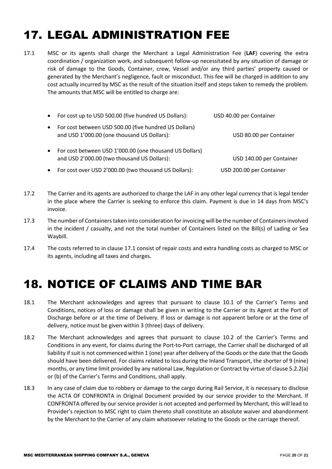## <span id="page-19-0"></span>17. LEGAL ADMINISTRATION FEE

17.1 MSC or its agents shall charge the Merchant a Legal Administration Fee (**LAF**) covering the extra coordination / organization work, and subsequent follow-up necessitated by any situation of damage or risk of damage to the Goods, Container, crew, Vessel and/or any third parties' property caused or generated by the Merchant's negligence, fault or misconduct. This fee will be charged in addition to any cost actually incurred by MSC as the result of the situation itself and steps taken to remedy the problem. The amounts that MSC will be entitled to charge are:

| $\bullet$ | For cost up to USD 500.00 (five hundred US Dollars):                                                   | USD 40.00 per Container  |
|-----------|--------------------------------------------------------------------------------------------------------|--------------------------|
| $\bullet$ | For cost between USD 500.00 (five hundred US Dollars)<br>and USD 1'000.00 (one thousand US Dollars):   | USD 80.00 per Container  |
| $\bullet$ | For cost between USD 1'000.00 (one thousand US Dollars)<br>and USD 2'000.00 (two thousand US Dollars): | USD 140.00 per Container |
|           | For cost over USD 2'000.00 (two thousand US Dollars):                                                  | USD 200.00 per Container |

- 17.2 The Carrier and its agents are authorized to charge the LAF in any other legal currency that is legal tender in the place where the Carrier is seeking to enforce this claim. Payment is due in 14 days from MSC's invoice.
- 17.3 The number of Containerstaken into consideration for invoicing will be the number of Containers involved in the incident / casualty, and not the total number of Containers listed on the Bill(s) of Lading or Sea Waybill.
- 17.4 The costs referred to in clause 17.1 consist of repair costs and extra handling costs as charged to MSC or its agents, including all taxes and charges.

## <span id="page-19-1"></span>18. NOTICE OF CLAIMS AND TIME BAR

- 18.1 The Merchant acknowledges and agrees that pursuant to clause 10.1 of the Carrier's Terms and Conditions, notices of loss or damage shall be given in writing to the Carrier or its Agent at the Port of Discharge before or at the time of Delivery. If loss or damage is not apparent before or at the time of delivery, notice must be given within 3 (three) days of delivery.
- 18.2 The Merchant acknowledges and agrees that pursuant to clause 10.2 of the Carrier's Terms and Conditions in any event, for claims during the Port-to-Port carriage, the Carrier shall be discharged of all liability if suit is not commenced within 1 (one) year after delivery of the Goods or the date that the Goods should have been delivered. For claims related to loss during the Inland Transport, the shorter of 9 (nine) months, or any time limit provided by any national Law, Regulation or Contract by virtue of clause 5.2.2(a) or (b) of the Carrier's Terms and Conditions, shall apply.
- 18.3 In any case of claim due to robbery or damage to the cargo during Rail Service, it is necessary to disclose the ACTA OF CONFRONTA in Original Document provided by our service provider to the Merchant. If CONFRONTA offered by our service provider is not accepted and performed by Merchant, this will lead to Provider's rejection to MSC right to claim thereto shall constitute an absolute waiver and abandonment by the Merchant to the Carrier of any claim whatsoever relating to the Goods or the carriage thereof.